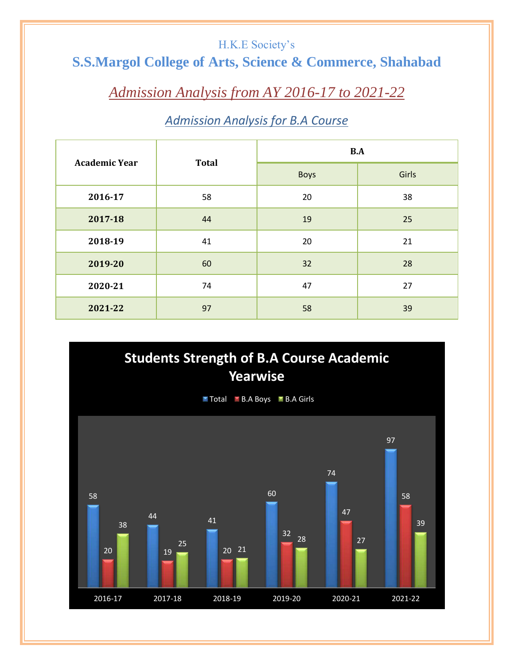#### H.K.E Society's

## **S.S.Margol College of Arts, Science & Commerce, Shahabad**

## *Admission Analysis from AY 2016-17 to 2021-22*

#### *Admission Analysis for B.A Course*

| <b>Academic Year</b> | <b>Total</b> | B.A         |       |
|----------------------|--------------|-------------|-------|
|                      |              | <b>Boys</b> | Girls |
| 2016-17              | 58           | 20          | 38    |
| 2017-18              | 44           | 19          | 25    |
| 2018-19              | 41           | 20          | 21    |
| 2019-20              | 60           | 32          | 28    |
| 2020-21              | 74           | 47          | 27    |
| 2021-22              | 97           | 58          | 39    |

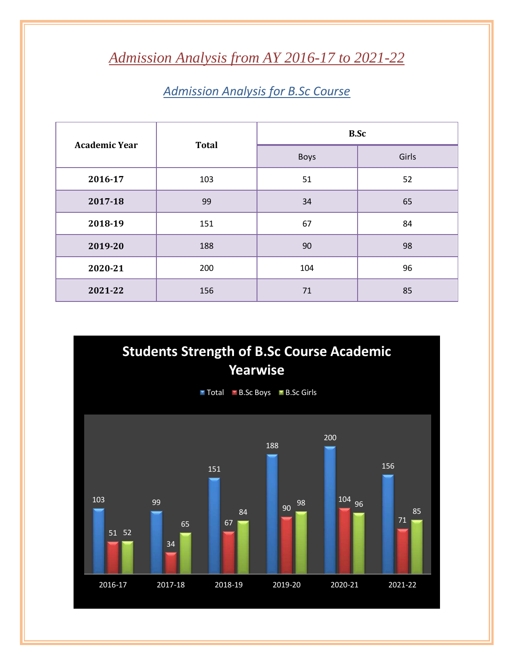# *Admission Analysis from AY 2016-17 to 2021-22*

### *Admission Analysis for B.Sc Course*

| <b>Academic Year</b> | <b>Total</b> | <b>B.Sc</b> |       |
|----------------------|--------------|-------------|-------|
|                      |              | <b>Boys</b> | Girls |
| 2016-17              | 103          | 51          | 52    |
| 2017-18              | 99           | 34          | 65    |
| 2018-19              | 151          | 67          | 84    |
| 2019-20              | 188          | 90          | 98    |
| 2020-21              | 200          | 104         | 96    |
| 2021-22              | 156          | 71          | 85    |